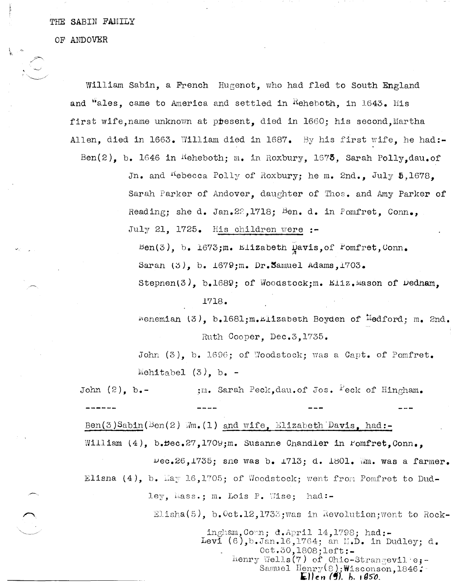## THE SABIN FAMILY

OF ANDOVER

William Sabin, a French Hugenot, who had fled to South England and "ales, came to America and settled in Reheboth, in 1643. His first wife, name unknown at present, died in 1660; his second, Martha Allen, died in 1663. William died in 1687. By his first wife, he had:-Ben(2), b. 1646 in Reheboth; m. in Roxbury, 1675, Sarah Polly, dau.of

> Jn. and <sup>K</sup>ebecca Polly of Roxbury; he m. 2nd., July 5,1678. Sarah Parker of Andover, daughter of Thos. and Amy Parker of Reading; she d. Jan. 22, 1718; Ben. d. in Pomfret, Conn., July 21, 1725. His children were :-

 $\texttt{Ben(3)}, \texttt{b. } 1673; \texttt{m. } 1122$  ben(3), b. Saran (3), b. 1679; m. Dr. Samuel Adams, 1703. Stephen(3), b.1689; of Woodstock; m. Eliz. Mason of Dednam,

## 1718.

Wehemian (3), b.1681; m.Elizabeth Boyden of Medford; m. 2nd. Ruth Cooper, Dec.3, 1735.

John (3), b. 1696; of Woodstock; was a Capt. of Pomfret. Mehitabel  $(3)$ , b. -

;m. Sarah Peck, dau. of Jos. Peck of Hingham. John  $(2)$ , b.-

Ben(3)Sabin(Ben(2) Wm. (1) and wife, Elizabeth Davis, had:-William (4), b. Dec. 27, 1709; m. Susanne Chandler in Fomfret. Conn.. Dec.26,1735; sne was b. 1713; d. 1801. Wm. was a farmer. Elisna  $(4)$ , b. May 16,1705; of Woodstock; went from Pomfret to Dudley, Mass.; m. Lois P. Wise; had:-

Elisha(5), b. Oct. 12, 1733; was in Revolution; went to Rock-

ingham, Comm; d. April  $14,1798$ ; had:-Levi (6), b. Jan. 16, 1764; an M.D. in Dudley; d. 0ct.30, 1808; left:- $\text{Henry Wells}(\text{7})$  of Ohio-Strangevile;-Samuel Henry(8); Wisconson, 1846: